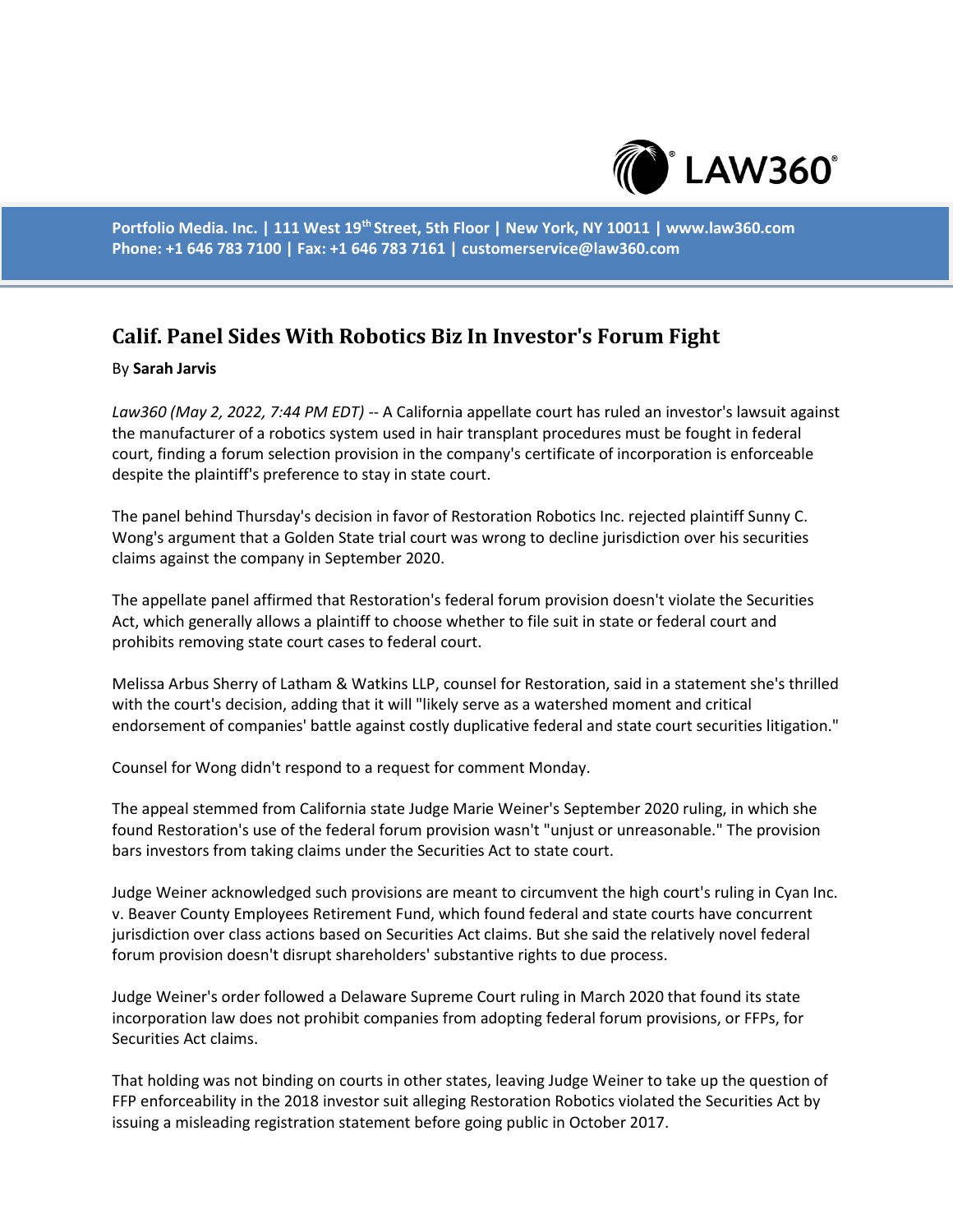

**Portfolio Media. Inc. | 111 West 19th Street, 5th Floor | New York, NY 10011 | www.law360.com Phone: +1 646 783 7100 | Fax: +1 646 783 7161 | customerservice@law360.com**

## **Calif. Panel Sides With Robotics Biz In Investor's Forum Fight**

## By **Sarah Jarvis**

*Law360 (May 2, 2022, 7:44 PM EDT)* -- A California appellate court has ruled an investor's lawsuit against the manufacturer of a robotics system used in hair transplant procedures must be fought in federal court, finding a forum selection provision in the company's certificate of incorporation is enforceable despite the plaintiff's preference to stay in state court.

The panel behind Thursday's decision in favor of Restoration Robotics Inc. rejected plaintiff Sunny C. Wong's argument that a Golden State trial court was wrong to decline jurisdiction over his securities claims against the company in September 2020.

The appellate panel affirmed that Restoration's federal forum provision doesn't violate the Securities Act, which generally allows a plaintiff to choose whether to file suit in state or federal court and prohibits removing state court cases to federal court.

Melissa Arbus Sherry of Latham & Watkins LLP, counsel for Restoration, said in a statement she's thrilled with the court's decision, adding that it will "likely serve as a watershed moment and critical endorsement of companies' battle against costly duplicative federal and state court securities litigation."

Counsel for Wong didn't respond to a request for comment Monday.

The appeal stemmed from California state Judge Marie Weiner's September 2020 ruling, in which she found Restoration's use of the federal forum provision wasn't "unjust or unreasonable." The provision bars investors from taking claims under the Securities Act to state court.

Judge Weiner acknowledged such provisions are meant to circumvent the high court's ruling in Cyan Inc. v. Beaver County Employees Retirement Fund, which found federal and state courts have concurrent jurisdiction over class actions based on Securities Act claims. But she said the relatively novel federal forum provision doesn't disrupt shareholders' substantive rights to due process.

Judge Weiner's order followed a Delaware Supreme Court ruling in March 2020 that found its state incorporation law does not prohibit companies from adopting federal forum provisions, or FFPs, for Securities Act claims.

That holding was not binding on courts in other states, leaving Judge Weiner to take up the question of FFP enforceability in the 2018 investor suit alleging Restoration Robotics violated the Securities Act by issuing a misleading registration statement before going public in October 2017.